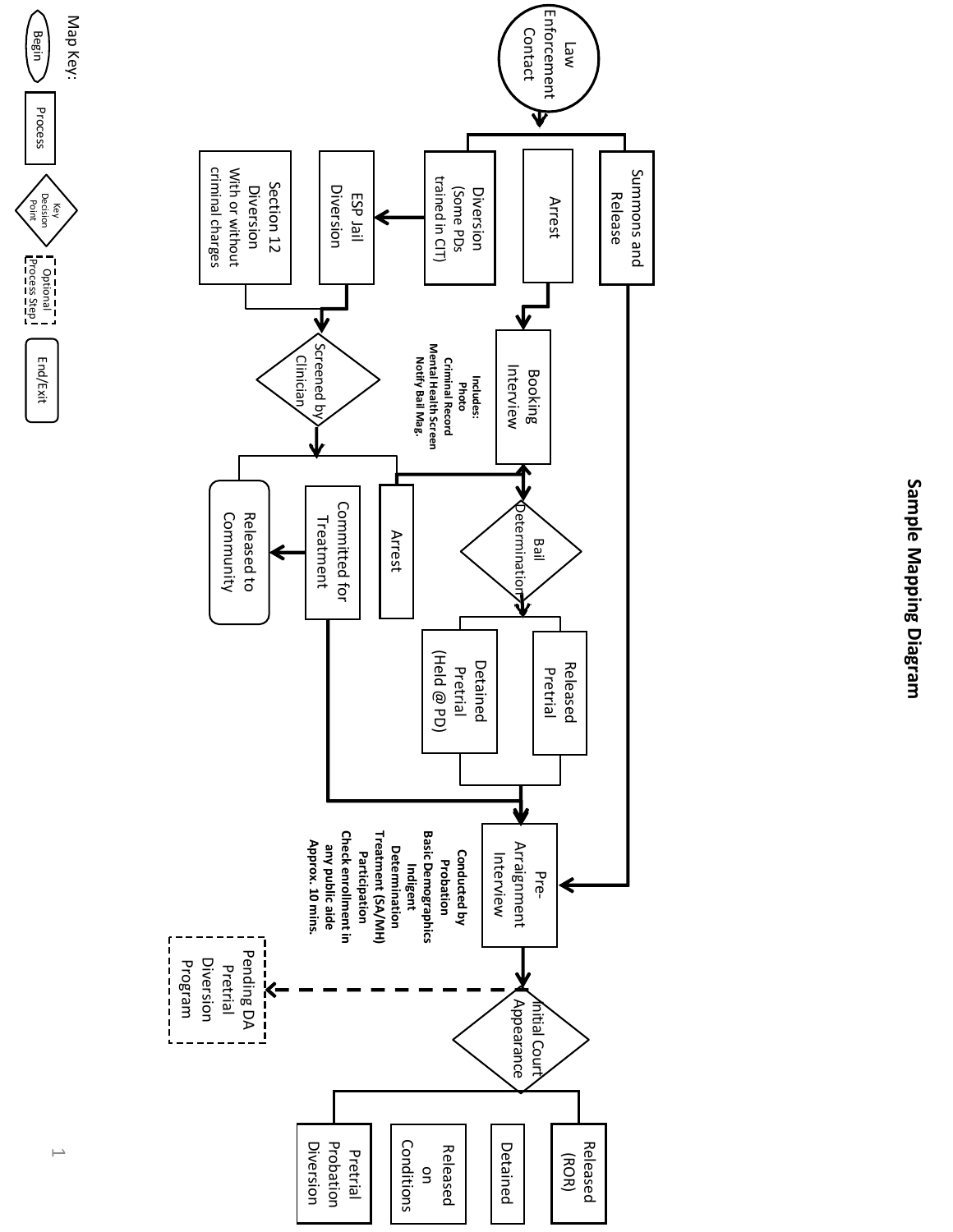

Sample Mapping Diagram **Sample Mapping Diagram**

Optional I End/Exit<br>Process Step I

End/Exit

Decision

Begin

Process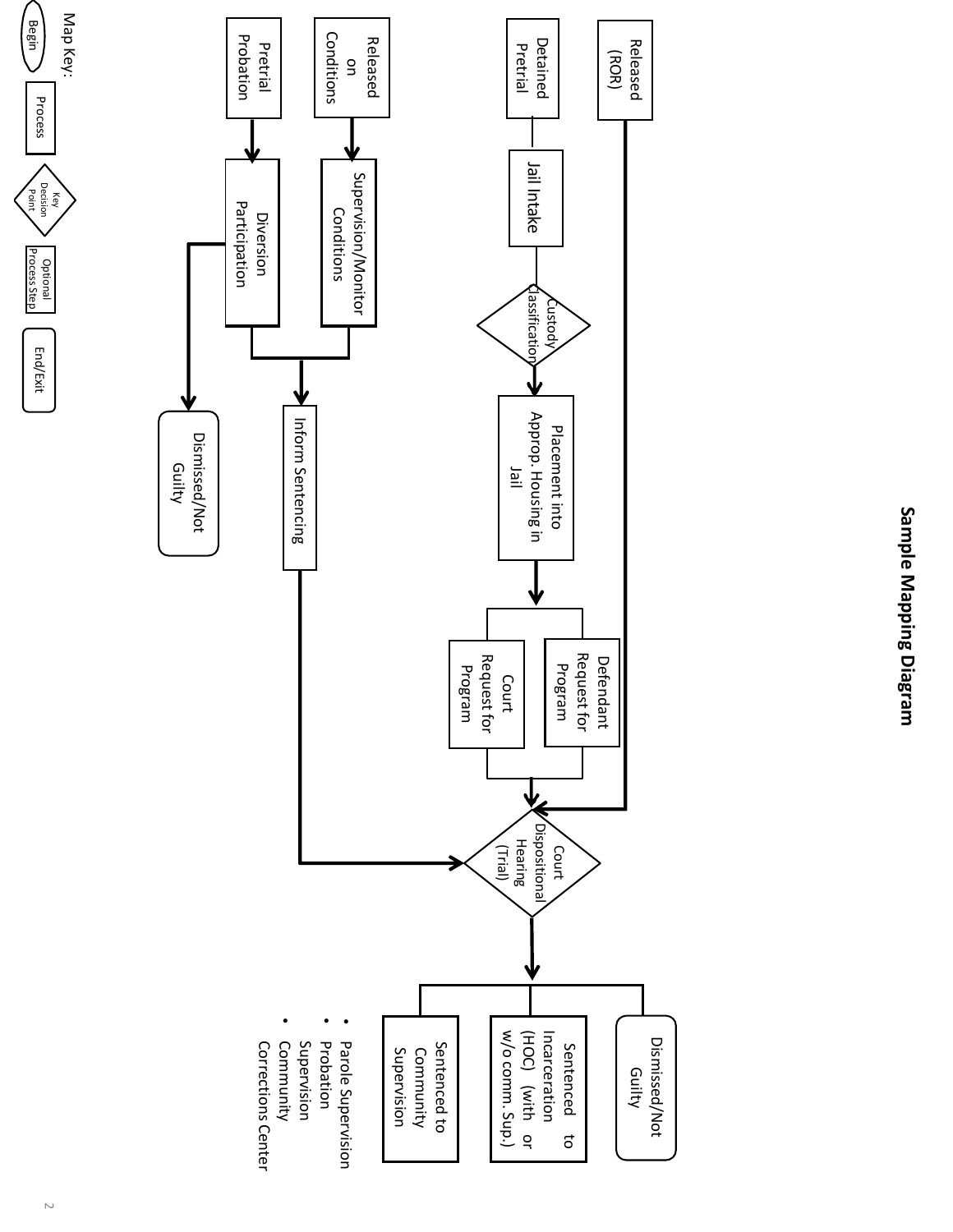

Map

(Begin

key<br>Bölg<br>Bont Decision

 $\sum_{\substack{\text{SVDM}}$  Process Step

Process

**Optional**<br>Process Step

End/Exit

Key: